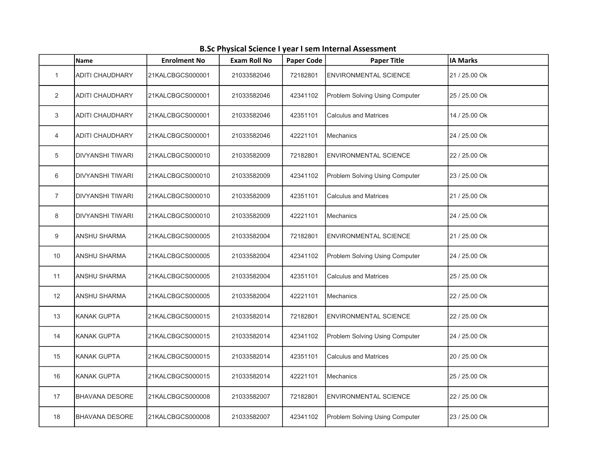|                | Name                    | <b>Enrolment No</b> | <b>Exam Roll No</b> | <b>Paper Code</b> | <b>Paper Title</b>             | <b>IA Marks</b> |
|----------------|-------------------------|---------------------|---------------------|-------------------|--------------------------------|-----------------|
| $\overline{1}$ | <b>ADITI CHAUDHARY</b>  | 21KALCBGCS000001    | 21033582046         | 72182801          | <b>ENVIRONMENTAL SCIENCE</b>   | 21 / 25.00 Ok   |
| 2              | ADITI CHAUDHARY         | 21KALCBGCS000001    | 21033582046         | 42341102          | Problem Solving Using Computer | 25 / 25,00 Ok   |
| 3              | <b>ADITI CHAUDHARY</b>  | 21KALCBGCS000001    | 21033582046         | 42351101          | <b>Calculus and Matrices</b>   | 14 / 25.00 Ok   |
| 4              | ADITI CHAUDHARY         | 21KALCBGCS000001    | 21033582046         | 42221101          | <b>Mechanics</b>               | 24 / 25.00 Ok   |
| 5              | <b>DIVYANSHI TIWARI</b> | 21KALCBGCS000010    | 21033582009         | 72182801          | <b>ENVIRONMENTAL SCIENCE</b>   | 22 / 25.00 Ok   |
| 6              | <b>DIVYANSHI TIWARI</b> | 21KALCBGCS000010    | 21033582009         | 42341102          | Problem Solving Using Computer | 23 / 25.00 Ok   |
| $\overline{7}$ | <b>DIVYANSHI TIWARI</b> | 21KALCBGCS000010    | 21033582009         | 42351101          | <b>Calculus and Matrices</b>   | 21 / 25.00 Ok   |
| 8              | DIVYANSHI TIWARI        | 21KALCBGCS000010    | 21033582009         | 42221101          | <b>Mechanics</b>               | 24 / 25.00 Ok   |
| 9              | <b>ANSHU SHARMA</b>     | 21KALCBGCS000005    | 21033582004         | 72182801          | <b>ENVIRONMENTAL SCIENCE</b>   | 21 / 25.00 Ok   |
| 10             | <b>ANSHU SHARMA</b>     | 21KALCBGCS000005    | 21033582004         | 42341102          | Problem Solving Using Computer | 24 / 25.00 Ok   |
| 11             | <b>ANSHU SHARMA</b>     | 21KALCBGCS000005    | 21033582004         | 42351101          | <b>Calculus and Matrices</b>   | 25 / 25.00 Ok   |
| 12             | <b>ANSHU SHARMA</b>     | 21KALCBGCS000005    | 21033582004         | 42221101          | <b>Mechanics</b>               | 22 / 25.00 Ok   |
| 13             | <b>KANAK GUPTA</b>      | 21KALCBGCS000015    | 21033582014         | 72182801          | <b>ENVIRONMENTAL SCIENCE</b>   | 22 / 25.00 Ok   |
| 14             | <b>KANAK GUPTA</b>      | 21KALCBGCS000015    | 21033582014         | 42341102          | Problem Solving Using Computer | 24 / 25.00 Ok   |
| 15             | KANAK GUPTA             | 21KALCBGCS000015    | 21033582014         | 42351101          | <b>Calculus and Matrices</b>   | 20 / 25.00 Ok   |
| 16             | <b>KANAK GUPTA</b>      | 21KALCBGCS000015    | 21033582014         | 42221101          | <b>Mechanics</b>               | 25 / 25.00 Ok   |
| 17             | <b>BHAVANA DESORE</b>   | 21KALCBGCS000008    | 21033582007         | 72182801          | <b>ENVIRONMENTAL SCIENCE</b>   | 22 / 25.00 Ok   |
| 18             | <b>BHAVANA DESORE</b>   | 21KALCBGCS000008    | 21033582007         | 42341102          | Problem Solving Using Computer | 23 / 25.00 Ok   |

B.Sc Physical Science I year I sem Internal Assessment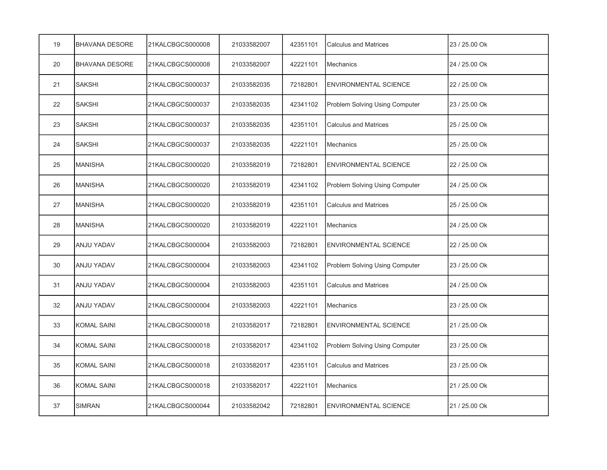| 19 | <b>BHAVANA DESORE</b> | 21KALCBGCS000008 | 21033582007 | 42351101 | <b>Calculus and Matrices</b>   | 23 / 25.00 Ok |
|----|-----------------------|------------------|-------------|----------|--------------------------------|---------------|
| 20 | <b>BHAVANA DESORE</b> | 21KALCBGCS000008 | 21033582007 | 42221101 | Mechanics                      | 24 / 25.00 Ok |
| 21 | <b>SAKSHI</b>         | 21KALCBGCS000037 | 21033582035 | 72182801 | <b>ENVIRONMENTAL SCIENCE</b>   | 22 / 25.00 Ok |
| 22 | <b>SAKSHI</b>         | 21KALCBGCS000037 | 21033582035 | 42341102 | Problem Solving Using Computer | 23 / 25.00 Ok |
| 23 | <b>SAKSHI</b>         | 21KALCBGCS000037 | 21033582035 | 42351101 | <b>Calculus and Matrices</b>   | 25 / 25.00 Ok |
| 24 | <b>SAKSHI</b>         | 21KALCBGCS000037 | 21033582035 | 42221101 | <b>Mechanics</b>               | 25 / 25.00 Ok |
| 25 | <b>MANISHA</b>        | 21KALCBGCS000020 | 21033582019 | 72182801 | <b>ENVIRONMENTAL SCIENCE</b>   | 22 / 25.00 Ok |
| 26 | <b>MANISHA</b>        | 21KALCBGCS000020 | 21033582019 | 42341102 | Problem Solving Using Computer | 24 / 25.00 Ok |
| 27 | <b>MANISHA</b>        | 21KALCBGCS000020 | 21033582019 | 42351101 | <b>Calculus and Matrices</b>   | 25 / 25.00 Ok |
| 28 | <b>MANISHA</b>        | 21KALCBGCS000020 | 21033582019 | 42221101 | Mechanics                      | 24 / 25.00 Ok |
| 29 | ANJU YADAV            | 21KALCBGCS000004 | 21033582003 | 72182801 | <b>ENVIRONMENTAL SCIENCE</b>   | 22 / 25.00 Ok |
| 30 | ANJU YADAV            | 21KALCBGCS000004 | 21033582003 | 42341102 | Problem Solving Using Computer | 23 / 25.00 Ok |
| 31 | ANJU YADAV            | 21KALCBGCS000004 | 21033582003 | 42351101 | <b>Calculus and Matrices</b>   | 24 / 25.00 Ok |
| 32 | <b>ANJU YADAV</b>     | 21KALCBGCS000004 | 21033582003 | 42221101 | Mechanics                      | 23 / 25.00 Ok |
| 33 | <b>KOMAL SAINI</b>    | 21KALCBGCS000018 | 21033582017 | 72182801 | <b>ENVIRONMENTAL SCIENCE</b>   | 21 / 25.00 Ok |
| 34 | <b>KOMAL SAINI</b>    | 21KALCBGCS000018 | 21033582017 | 42341102 | Problem Solving Using Computer | 23 / 25.00 Ok |
| 35 | <b>KOMAL SAINI</b>    | 21KALCBGCS000018 | 21033582017 | 42351101 | <b>Calculus and Matrices</b>   | 23 / 25.00 Ok |
| 36 | <b>KOMAL SAINI</b>    | 21KALCBGCS000018 | 21033582017 | 42221101 | Mechanics                      | 21 / 25.00 Ok |
| 37 | <b>SIMRAN</b>         | 21KALCBGCS000044 | 21033582042 | 72182801 | <b>ENVIRONMENTAL SCIENCE</b>   | 21 / 25.00 Ok |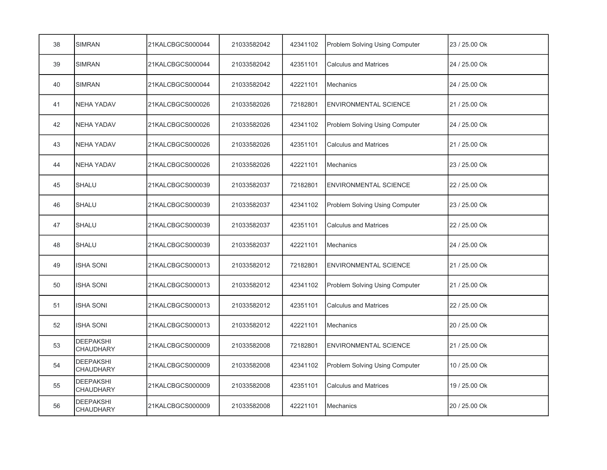| 38 | <b>SIMRAN</b>                        | 21KALCBGCS000044 | 21033582042 | 42341102 | Problem Solving Using Computer | 23 / 25.00 Ok |
|----|--------------------------------------|------------------|-------------|----------|--------------------------------|---------------|
| 39 | <b>SIMRAN</b>                        | 21KALCBGCS000044 | 21033582042 | 42351101 | <b>Calculus and Matrices</b>   | 24 / 25.00 Ok |
| 40 | <b>SIMRAN</b>                        | 21KALCBGCS000044 | 21033582042 | 42221101 | Mechanics                      | 24 / 25.00 Ok |
| 41 | <b>NEHA YADAV</b>                    | 21KALCBGCS000026 | 21033582026 | 72182801 | <b>ENVIRONMENTAL SCIENCE</b>   | 21 / 25.00 Ok |
| 42 | <b>NEHA YADAV</b>                    | 21KALCBGCS000026 | 21033582026 | 42341102 | Problem Solving Using Computer | 24 / 25.00 Ok |
| 43 | <b>NEHA YADAV</b>                    | 21KALCBGCS000026 | 21033582026 | 42351101 | <b>Calculus and Matrices</b>   | 21 / 25.00 Ok |
| 44 | <b>NEHA YADAV</b>                    | 21KALCBGCS000026 | 21033582026 | 42221101 | <b>Mechanics</b>               | 23 / 25.00 Ok |
| 45 | <b>SHALU</b>                         | 21KALCBGCS000039 | 21033582037 | 72182801 | <b>ENVIRONMENTAL SCIENCE</b>   | 22 / 25.00 Ok |
| 46 | SHALU                                | 21KALCBGCS000039 | 21033582037 | 42341102 | Problem Solving Using Computer | 23 / 25.00 Ok |
| 47 | SHALU                                | 21KALCBGCS000039 | 21033582037 | 42351101 | <b>Calculus and Matrices</b>   | 22 / 25.00 Ok |
| 48 | <b>SHALU</b>                         | 21KALCBGCS000039 | 21033582037 | 42221101 | <b>Mechanics</b>               | 24 / 25.00 Ok |
| 49 | <b>ISHA SONI</b>                     | 21KALCBGCS000013 | 21033582012 | 72182801 | ENVIRONMENTAL SCIENCE          | 21 / 25.00 Ok |
| 50 | ISHA SONI                            | 21KALCBGCS000013 | 21033582012 | 42341102 | Problem Solving Using Computer | 21 / 25.00 Ok |
| 51 | <b>ISHA SONI</b>                     | 21KALCBGCS000013 | 21033582012 | 42351101 | <b>Calculus and Matrices</b>   | 22 / 25.00 Ok |
| 52 | <b>ISHA SONI</b>                     | 21KALCBGCS000013 | 21033582012 | 42221101 | <b>Mechanics</b>               | 20 / 25.00 Ok |
| 53 | <b>DEEPAKSHI</b><br><b>CHAUDHARY</b> | 21KALCBGCS000009 | 21033582008 | 72182801 | <b>ENVIRONMENTAL SCIENCE</b>   | 21 / 25.00 Ok |
| 54 | <b>DEEPAKSHI</b><br>CHAUDHARY        | 21KALCBGCS000009 | 21033582008 | 42341102 | Problem Solving Using Computer | 10 / 25.00 Ok |
| 55 | <b>DEEPAKSHI</b><br><b>CHAUDHARY</b> | 21KALCBGCS000009 | 21033582008 | 42351101 | <b>Calculus and Matrices</b>   | 19 / 25.00 Ok |
| 56 | <b>DEEPAKSHI</b><br><b>CHAUDHARY</b> | 21KALCBGCS000009 | 21033582008 | 42221101 | Mechanics                      | 20 / 25.00 Ok |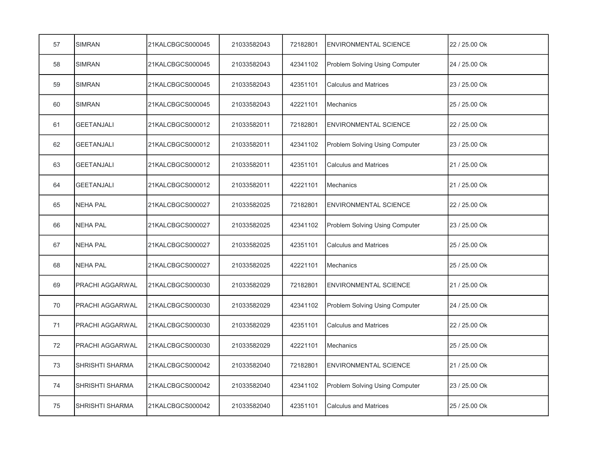| 57 | <b>SIMRAN</b>          | 21KALCBGCS000045 | 21033582043 | 72182801 | <b>ENVIRONMENTAL SCIENCE</b>   | 22 / 25.00 Ok |
|----|------------------------|------------------|-------------|----------|--------------------------------|---------------|
| 58 | <b>SIMRAN</b>          | 21KALCBGCS000045 | 21033582043 | 42341102 | Problem Solving Using Computer | 24 / 25.00 Ok |
| 59 | <b>SIMRAN</b>          | 21KALCBGCS000045 | 21033582043 | 42351101 | <b>Calculus and Matrices</b>   | 23 / 25.00 Ok |
| 60 | <b>SIMRAN</b>          | 21KALCBGCS000045 | 21033582043 | 42221101 | <b>Mechanics</b>               | 25 / 25.00 Ok |
| 61 | <b>GEETANJALI</b>      | 21KALCBGCS000012 | 21033582011 | 72182801 | <b>ENVIRONMENTAL SCIENCE</b>   | 22 / 25.00 Ok |
| 62 | <b>GEETANJALI</b>      | 21KALCBGCS000012 | 21033582011 | 42341102 | Problem Solving Using Computer | 23 / 25.00 Ok |
| 63 | <b>GEETANJALI</b>      | 21KALCBGCS000012 | 21033582011 | 42351101 | <b>Calculus and Matrices</b>   | 21 / 25.00 Ok |
| 64 | <b>GEETANJALI</b>      | 21KALCBGCS000012 | 21033582011 | 42221101 | <b>Mechanics</b>               | 21 / 25.00 Ok |
| 65 | <b>NEHA PAL</b>        | 21KALCBGCS000027 | 21033582025 | 72182801 | <b>ENVIRONMENTAL SCIENCE</b>   | 22 / 25.00 Ok |
| 66 | <b>NEHA PAL</b>        | 21KALCBGCS000027 | 21033582025 | 42341102 | Problem Solving Using Computer | 23 / 25.00 Ok |
| 67 | <b>NEHA PAL</b>        | 21KALCBGCS000027 | 21033582025 | 42351101 | <b>Calculus and Matrices</b>   | 25 / 25.00 Ok |
| 68 | <b>NEHA PAL</b>        | 21KALCBGCS000027 | 21033582025 | 42221101 | <b>Mechanics</b>               | 25 / 25.00 Ok |
| 69 | PRACHI AGGARWAL        | 21KALCBGCS000030 | 21033582029 | 72182801 | <b>ENVIRONMENTAL SCIENCE</b>   | 21 / 25.00 Ok |
| 70 | PRACHI AGGARWAL        | 21KALCBGCS000030 | 21033582029 | 42341102 | Problem Solving Using Computer | 24 / 25.00 Ok |
| 71 | PRACHI AGGARWAL        | 21KALCBGCS000030 | 21033582029 | 42351101 | <b>Calculus and Matrices</b>   | 22 / 25.00 Ok |
| 72 | PRACHI AGGARWAL        | 21KALCBGCS000030 | 21033582029 | 42221101 | <b>Mechanics</b>               | 25 / 25.00 Ok |
| 73 | SHRISHTI SHARMA        | 21KALCBGCS000042 | 21033582040 | 72182801 | <b>ENVIRONMENTAL SCIENCE</b>   | 21 / 25.00 Ok |
| 74 | <b>SHRISHTI SHARMA</b> | 21KALCBGCS000042 | 21033582040 | 42341102 | Problem Solving Using Computer | 23 / 25.00 Ok |
| 75 | <b>SHRISHTI SHARMA</b> | 21KALCBGCS000042 | 21033582040 | 42351101 | <b>Calculus and Matrices</b>   | 25 / 25.00 Ok |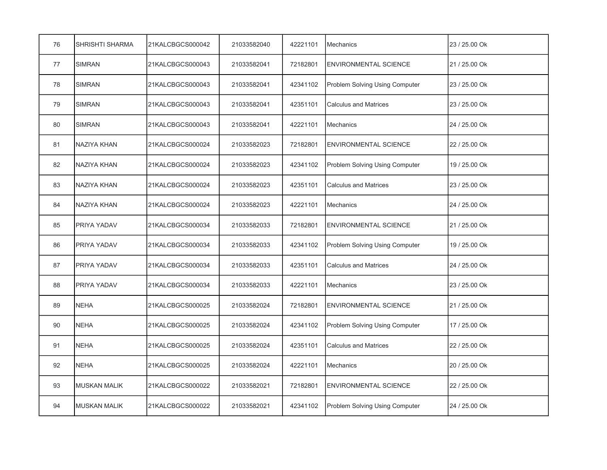| 76 | <b>SHRISHTI SHARMA</b> | 21KALCBGCS000042 | 21033582040 | 42221101 | <b>Mechanics</b>               | 23 / 25.00 Ok |
|----|------------------------|------------------|-------------|----------|--------------------------------|---------------|
| 77 | <b>SIMRAN</b>          | 21KALCBGCS000043 | 21033582041 | 72182801 | <b>ENVIRONMENTAL SCIENCE</b>   | 21 / 25.00 Ok |
| 78 | <b>SIMRAN</b>          | 21KALCBGCS000043 | 21033582041 | 42341102 | Problem Solving Using Computer | 23 / 25.00 Ok |
| 79 | <b>SIMRAN</b>          | 21KALCBGCS000043 | 21033582041 | 42351101 | <b>Calculus and Matrices</b>   | 23 / 25.00 Ok |
| 80 | <b>SIMRAN</b>          | 21KALCBGCS000043 | 21033582041 | 42221101 | <b>Mechanics</b>               | 24 / 25.00 Ok |
| 81 | <b>NAZIYA KHAN</b>     | 21KALCBGCS000024 | 21033582023 | 72182801 | <b>ENVIRONMENTAL SCIENCE</b>   | 22 / 25.00 Ok |
| 82 | <b>NAZIYA KHAN</b>     | 21KALCBGCS000024 | 21033582023 | 42341102 | Problem Solving Using Computer | 19 / 25.00 Ok |
| 83 | NAZIYA KHAN            | 21KALCBGCS000024 | 21033582023 | 42351101 | <b>Calculus and Matrices</b>   | 23 / 25.00 Ok |
| 84 | <b>NAZIYA KHAN</b>     | 21KALCBGCS000024 | 21033582023 | 42221101 | Mechanics                      | 24 / 25.00 Ok |
| 85 | PRIYA YADAV            | 21KALCBGCS000034 | 21033582033 | 72182801 | <b>ENVIRONMENTAL SCIENCE</b>   | 21 / 25.00 Ok |
| 86 | PRIYA YADAV            | 21KALCBGCS000034 | 21033582033 | 42341102 | Problem Solving Using Computer | 19 / 25.00 Ok |
| 87 | PRIYA YADAV            | 21KALCBGCS000034 | 21033582033 | 42351101 | <b>Calculus and Matrices</b>   | 24 / 25.00 Ok |
| 88 | PRIYA YADAV            | 21KALCBGCS000034 | 21033582033 | 42221101 | <b>Mechanics</b>               | 23 / 25.00 Ok |
| 89 | <b>NEHA</b>            | 21KALCBGCS000025 | 21033582024 | 72182801 | <b>ENVIRONMENTAL SCIENCE</b>   | 21 / 25.00 Ok |
| 90 | <b>NEHA</b>            | 21KALCBGCS000025 | 21033582024 | 42341102 | Problem Solving Using Computer | 17 / 25.00 Ok |
| 91 | <b>NEHA</b>            | 21KALCBGCS000025 | 21033582024 | 42351101 | <b>Calculus and Matrices</b>   | 22 / 25.00 Ok |
| 92 | <b>NEHA</b>            | 21KALCBGCS000025 | 21033582024 | 42221101 | <b>Mechanics</b>               | 20 / 25.00 Ok |
| 93 | <b>MUSKAN MALIK</b>    | 21KALCBGCS000022 | 21033582021 | 72182801 | <b>ENVIRONMENTAL SCIENCE</b>   | 22 / 25.00 Ok |
| 94 | <b>MUSKAN MALIK</b>    | 21KALCBGCS000022 | 21033582021 | 42341102 | Problem Solving Using Computer | 24 / 25.00 Ok |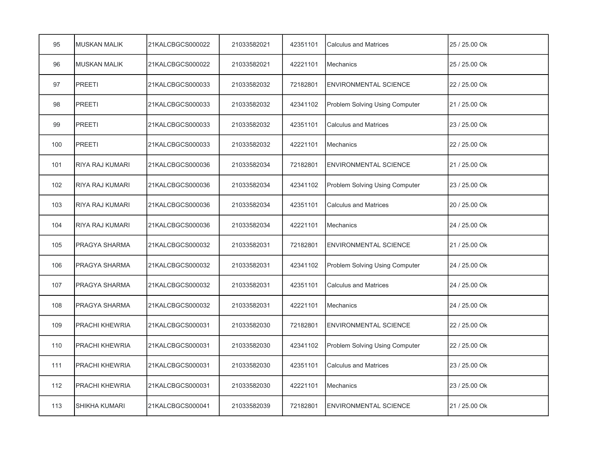| 95  | <b>MUSKAN MALIK</b>    | 21KALCBGCS000022 | 21033582021 | 42351101 | <b>Calculus and Matrices</b>   | 25 / 25.00 Ok |
|-----|------------------------|------------------|-------------|----------|--------------------------------|---------------|
| 96  | <b>MUSKAN MALIK</b>    | 21KALCBGCS000022 | 21033582021 | 42221101 | <b>Mechanics</b>               | 25 / 25.00 Ok |
| 97  | <b>PREETI</b>          | 21KALCBGCS000033 | 21033582032 | 72182801 | <b>ENVIRONMENTAL SCIENCE</b>   | 22 / 25.00 Ok |
| 98  | <b>PREETI</b>          | 21KALCBGCS000033 | 21033582032 | 42341102 | Problem Solving Using Computer | 21 / 25.00 Ok |
| 99  | <b>PREETI</b>          | 21KALCBGCS000033 | 21033582032 | 42351101 | <b>Calculus and Matrices</b>   | 23 / 25.00 Ok |
| 100 | <b>PREETI</b>          | 21KALCBGCS000033 | 21033582032 | 42221101 | <b>Mechanics</b>               | 22 / 25.00 Ok |
| 101 | RIYA RAJ KUMARI        | 21KALCBGCS000036 | 21033582034 | 72182801 | <b>ENVIRONMENTAL SCIENCE</b>   | 21 / 25.00 Ok |
| 102 | <b>RIYA RAJ KUMARI</b> | 21KALCBGCS000036 | 21033582034 | 42341102 | Problem Solving Using Computer | 23 / 25.00 Ok |
| 103 | <b>RIYA RAJ KUMARI</b> | 21KALCBGCS000036 | 21033582034 | 42351101 | <b>Calculus and Matrices</b>   | 20 / 25.00 Ok |
| 104 | <b>RIYA RAJ KUMARI</b> | 21KALCBGCS000036 | 21033582034 | 42221101 | <b>Mechanics</b>               | 24 / 25.00 Ok |
| 105 | PRAGYA SHARMA          | 21KALCBGCS000032 | 21033582031 | 72182801 | <b>ENVIRONMENTAL SCIENCE</b>   | 21 / 25.00 Ok |
| 106 | PRAGYA SHARMA          | 21KALCBGCS000032 | 21033582031 | 42341102 | Problem Solving Using Computer | 24 / 25.00 Ok |
| 107 | PRAGYA SHARMA          | 21KALCBGCS000032 | 21033582031 | 42351101 | <b>Calculus and Matrices</b>   | 24 / 25.00 Ok |
| 108 | PRAGYA SHARMA          | 21KALCBGCS000032 | 21033582031 | 42221101 | Mechanics                      | 24 / 25.00 Ok |
| 109 | PRACHI KHEWRIA         | 21KALCBGCS000031 | 21033582030 | 72182801 | <b>ENVIRONMENTAL SCIENCE</b>   | 22 / 25.00 Ok |
| 110 | PRACHI KHEWRIA         | 21KALCBGCS000031 | 21033582030 | 42341102 | Problem Solving Using Computer | 22 / 25.00 Ok |
| 111 | PRACHI KHEWRIA         | 21KALCBGCS000031 | 21033582030 | 42351101 | <b>Calculus and Matrices</b>   | 23 / 25.00 Ok |
| 112 | PRACHI KHEWRIA         | 21KALCBGCS000031 | 21033582030 | 42221101 | Mechanics                      | 23 / 25.00 Ok |
| 113 | <b>SHIKHA KUMARI</b>   | 21KALCBGCS000041 | 21033582039 | 72182801 | <b>ENVIRONMENTAL SCIENCE</b>   | 21 / 25.00 Ok |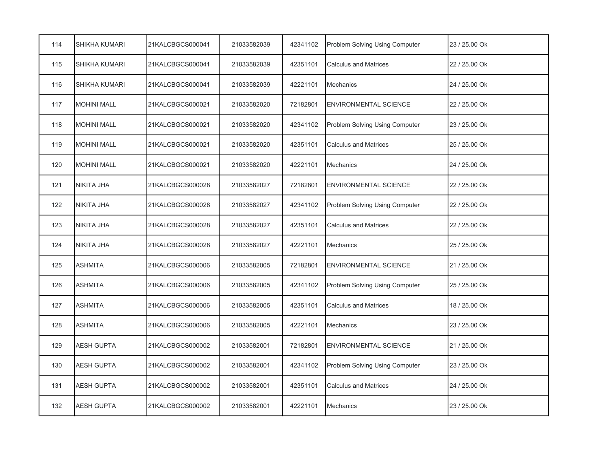| 114 | SHIKHA KUMARI      | 21KALCBGCS000041 | 21033582039 | 42341102 | Problem Solving Using Computer | 23 / 25.00 Ok |
|-----|--------------------|------------------|-------------|----------|--------------------------------|---------------|
| 115 | SHIKHA KUMARI      | 21KALCBGCS000041 | 21033582039 | 42351101 | <b>Calculus and Matrices</b>   | 22 / 25.00 Ok |
| 116 | SHIKHA KUMARI      | 21KALCBGCS000041 | 21033582039 | 42221101 | Mechanics                      | 24 / 25.00 Ok |
| 117 | <b>MOHINI MALL</b> | 21KALCBGCS000021 | 21033582020 | 72182801 | <b>ENVIRONMENTAL SCIENCE</b>   | 22 / 25.00 Ok |
| 118 | <b>MOHINI MALL</b> | 21KALCBGCS000021 | 21033582020 | 42341102 | Problem Solving Using Computer | 23 / 25.00 Ok |
| 119 | <b>MOHINI MALL</b> | 21KALCBGCS000021 | 21033582020 | 42351101 | <b>Calculus and Matrices</b>   | 25 / 25.00 Ok |
| 120 | <b>MOHINI MALL</b> | 21KALCBGCS000021 | 21033582020 | 42221101 | <b>Mechanics</b>               | 24 / 25.00 Ok |
| 121 | <b>NIKITA JHA</b>  | 21KALCBGCS000028 | 21033582027 | 72182801 | <b>ENVIRONMENTAL SCIENCE</b>   | 22 / 25.00 Ok |
| 122 | <b>NIKITA JHA</b>  | 21KALCBGCS000028 | 21033582027 | 42341102 | Problem Solving Using Computer | 22 / 25.00 Ok |
| 123 | <b>NIKITA JHA</b>  | 21KALCBGCS000028 | 21033582027 | 42351101 | <b>Calculus and Matrices</b>   | 22 / 25.00 Ok |
| 124 | NIKITA JHA         | 21KALCBGCS000028 | 21033582027 | 42221101 | <b>Mechanics</b>               | 25 / 25.00 Ok |
| 125 | <b>ASHMITA</b>     | 21KALCBGCS000006 | 21033582005 | 72182801 | <b>ENVIRONMENTAL SCIENCE</b>   | 21 / 25.00 Ok |
| 126 | <b>ASHMITA</b>     | 21KALCBGCS000006 | 21033582005 | 42341102 | Problem Solving Using Computer | 25 / 25.00 Ok |
| 127 | <b>ASHMITA</b>     | 21KALCBGCS000006 | 21033582005 | 42351101 | <b>Calculus and Matrices</b>   | 18 / 25.00 Ok |
| 128 | <b>ASHMITA</b>     | 21KALCBGCS000006 | 21033582005 | 42221101 | <b>Mechanics</b>               | 23 / 25.00 Ok |
| 129 | <b>AESH GUPTA</b>  | 21KALCBGCS000002 | 21033582001 | 72182801 | <b>ENVIRONMENTAL SCIENCE</b>   | 21 / 25.00 Ok |
| 130 | <b>AESH GUPTA</b>  | 21KALCBGCS000002 | 21033582001 | 42341102 | Problem Solving Using Computer | 23 / 25.00 Ok |
| 131 | <b>AESH GUPTA</b>  | 21KALCBGCS000002 | 21033582001 | 42351101 | <b>Calculus and Matrices</b>   | 24 / 25.00 Ok |
| 132 | <b>AESH GUPTA</b>  | 21KALCBGCS000002 | 21033582001 | 42221101 | <b>Mechanics</b>               | 23 / 25.00 Ok |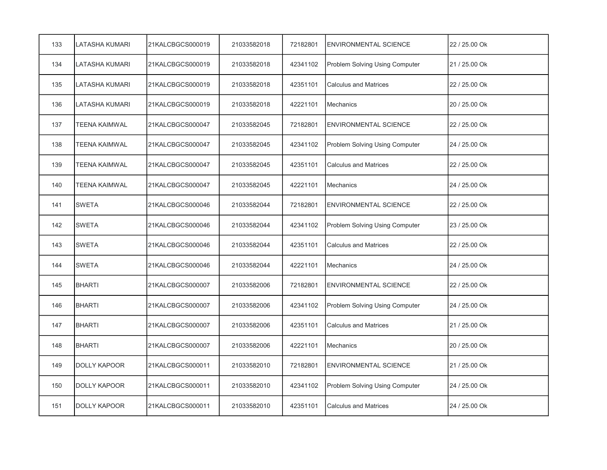| 133 | LATASHA KUMARI        | 21KALCBGCS000019 | 21033582018 | 72182801 | <b>ENVIRONMENTAL SCIENCE</b>   | 22 / 25.00 Ok |
|-----|-----------------------|------------------|-------------|----------|--------------------------------|---------------|
| 134 | LATASHA KUMARI        | 21KALCBGCS000019 | 21033582018 | 42341102 | Problem Solving Using Computer | 21 / 25.00 Ok |
| 135 | LATASHA KUMARI        | 21KALCBGCS000019 | 21033582018 | 42351101 | <b>Calculus and Matrices</b>   | 22 / 25.00 Ok |
| 136 | <b>LATASHA KUMARI</b> | 21KALCBGCS000019 | 21033582018 | 42221101 | <b>Mechanics</b>               | 20 / 25.00 Ok |
| 137 | <b>TEENA KAIMWAL</b>  | 21KALCBGCS000047 | 21033582045 | 72182801 | <b>ENVIRONMENTAL SCIENCE</b>   | 22 / 25.00 Ok |
| 138 | <b>TEENA KAIMWAL</b>  | 21KALCBGCS000047 | 21033582045 | 42341102 | Problem Solving Using Computer | 24 / 25.00 Ok |
| 139 | <b>TEENA KAIMWAL</b>  | 21KALCBGCS000047 | 21033582045 | 42351101 | <b>Calculus and Matrices</b>   | 22 / 25.00 Ok |
| 140 | <b>TEENA KAIMWAL</b>  | 21KALCBGCS000047 | 21033582045 | 42221101 | <b>Mechanics</b>               | 24 / 25.00 Ok |
| 141 | <b>SWETA</b>          | 21KALCBGCS000046 | 21033582044 | 72182801 | <b>ENVIRONMENTAL SCIENCE</b>   | 22 / 25.00 Ok |
| 142 | <b>SWETA</b>          | 21KALCBGCS000046 | 21033582044 | 42341102 | Problem Solving Using Computer | 23 / 25.00 Ok |
| 143 | <b>SWETA</b>          | 21KALCBGCS000046 | 21033582044 | 42351101 | <b>Calculus and Matrices</b>   | 22 / 25.00 Ok |
| 144 | <b>SWETA</b>          | 21KALCBGCS000046 | 21033582044 | 42221101 | <b>Mechanics</b>               | 24 / 25.00 Ok |
| 145 | <b>BHARTI</b>         | 21KALCBGCS000007 | 21033582006 | 72182801 | <b>ENVIRONMENTAL SCIENCE</b>   | 22 / 25.00 Ok |
| 146 | <b>BHARTI</b>         | 21KALCBGCS000007 | 21033582006 | 42341102 | Problem Solving Using Computer | 24 / 25.00 Ok |
| 147 | <b>BHARTI</b>         | 21KALCBGCS000007 | 21033582006 | 42351101 | <b>Calculus and Matrices</b>   | 21 / 25.00 Ok |
| 148 | <b>BHARTI</b>         | 21KALCBGCS000007 | 21033582006 | 42221101 | <b>Mechanics</b>               | 20 / 25.00 Ok |
| 149 | <b>DOLLY KAPOOR</b>   | 21KALCBGCS000011 | 21033582010 | 72182801 | <b>ENVIRONMENTAL SCIENCE</b>   | 21 / 25.00 Ok |
| 150 | <b>DOLLY KAPOOR</b>   | 21KALCBGCS000011 | 21033582010 | 42341102 | Problem Solving Using Computer | 24 / 25.00 Ok |
| 151 | <b>DOLLY KAPOOR</b>   | 21KALCBGCS000011 | 21033582010 | 42351101 | <b>Calculus and Matrices</b>   | 24 / 25.00 Ok |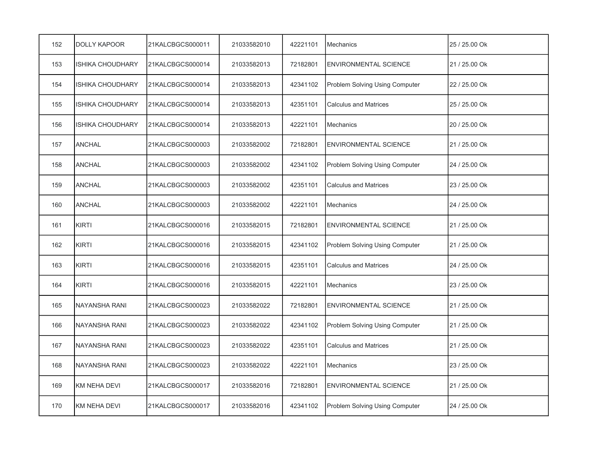| 152 | <b>DOLLY KAPOOR</b>     | 21KALCBGCS000011 | 21033582010 | 42221101 | Mechanics                      | 25 / 25.00 Ok |
|-----|-------------------------|------------------|-------------|----------|--------------------------------|---------------|
| 153 | <b>ISHIKA CHOUDHARY</b> | 21KALCBGCS000014 | 21033582013 | 72182801 | <b>ENVIRONMENTAL SCIENCE</b>   | 21 / 25.00 Ok |
| 154 | <b>ISHIKA CHOUDHARY</b> | 21KALCBGCS000014 | 21033582013 | 42341102 | Problem Solving Using Computer | 22 / 25.00 Ok |
| 155 | <b>ISHIKA CHOUDHARY</b> | 21KALCBGCS000014 | 21033582013 | 42351101 | <b>Calculus and Matrices</b>   | 25 / 25.00 Ok |
| 156 | <b>ISHIKA CHOUDHARY</b> | 21KALCBGCS000014 | 21033582013 | 42221101 | <b>Mechanics</b>               | 20 / 25.00 Ok |
| 157 | <b>ANCHAL</b>           | 21KALCBGCS000003 | 21033582002 | 72182801 | <b>ENVIRONMENTAL SCIENCE</b>   | 21 / 25.00 Ok |
| 158 | <b>ANCHAL</b>           | 21KALCBGCS000003 | 21033582002 | 42341102 | Problem Solving Using Computer | 24 / 25.00 Ok |
| 159 | <b>ANCHAL</b>           | 21KALCBGCS000003 | 21033582002 | 42351101 | <b>Calculus and Matrices</b>   | 23 / 25.00 Ok |
| 160 | <b>ANCHAL</b>           | 21KALCBGCS000003 | 21033582002 | 42221101 | Mechanics                      | 24 / 25.00 Ok |
| 161 | <b>KIRTI</b>            | 21KALCBGCS000016 | 21033582015 | 72182801 | <b>ENVIRONMENTAL SCIENCE</b>   | 21 / 25.00 Ok |
| 162 | <b>KIRTI</b>            | 21KALCBGCS000016 | 21033582015 | 42341102 | Problem Solving Using Computer | 21 / 25.00 Ok |
| 163 | <b>KIRTI</b>            | 21KALCBGCS000016 | 21033582015 | 42351101 | <b>Calculus and Matrices</b>   | 24 / 25.00 Ok |
| 164 | <b>KIRTI</b>            | 21KALCBGCS000016 | 21033582015 | 42221101 | Mechanics                      | 23 / 25.00 Ok |
| 165 | <b>NAYANSHA RANI</b>    | 21KALCBGCS000023 | 21033582022 | 72182801 | <b>ENVIRONMENTAL SCIENCE</b>   | 21 / 25.00 Ok |
| 166 | NAYANSHA RANI           | 21KALCBGCS000023 | 21033582022 | 42341102 | Problem Solving Using Computer | 21 / 25.00 Ok |
| 167 | NAYANSHA RANI           | 21KALCBGCS000023 | 21033582022 | 42351101 | <b>Calculus and Matrices</b>   | 21 / 25.00 Ok |
| 168 | <b>NAYANSHA RANI</b>    | 21KALCBGCS000023 | 21033582022 | 42221101 | <b>Mechanics</b>               | 23 / 25.00 Ok |
| 169 | <b>KM NEHA DEVI</b>     | 21KALCBGCS000017 | 21033582016 | 72182801 | <b>ENVIRONMENTAL SCIENCE</b>   | 21 / 25.00 Ok |
| 170 | <b>KM NEHA DEVI</b>     | 21KALCBGCS000017 | 21033582016 | 42341102 | Problem Solving Using Computer | 24 / 25.00 Ok |